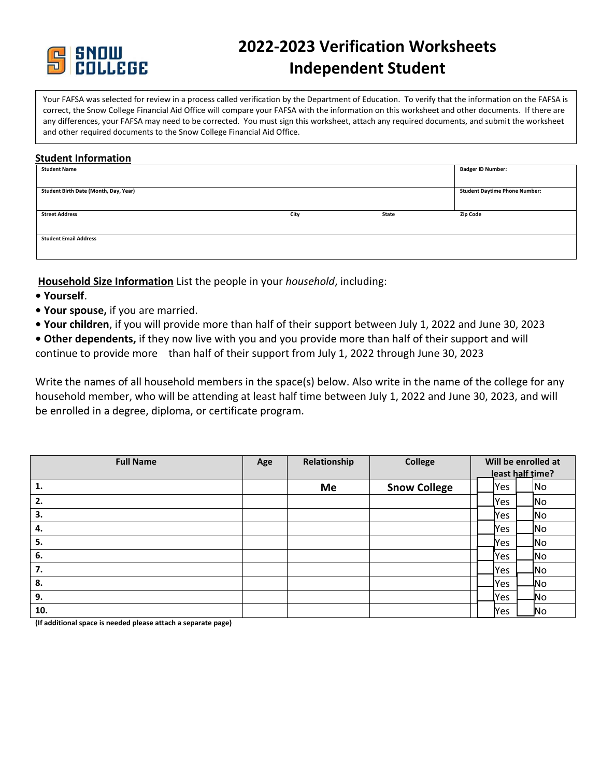

# **2022-2023 Verification Worksheets Independent Student**

Your FAFSA was selected for review in a process called verification by the Department of Education. To verify that the information on the FAFSA is correct, the Snow College Financial Aid Office will compare your FAFSA with the information on this worksheet and other documents. If there are any differences, your FAFSA may need to be corrected. You must sign this worksheet, attach any required documents, and submit the worksheet and other required documents to the Snow College Financial Aid Office.

## **Student Information**

| <b>Student Name</b>                   |      |       | <b>Badger ID Number:</b>             |
|---------------------------------------|------|-------|--------------------------------------|
|                                       |      |       |                                      |
| Student Birth Date (Month, Day, Year) |      |       | <b>Student Daytime Phone Number:</b> |
|                                       |      |       |                                      |
| <b>Street Address</b>                 | City | State | <b>Zip Code</b>                      |
|                                       |      |       |                                      |
| <b>Student Email Address</b>          |      |       |                                      |
|                                       |      |       |                                      |

**Household Size Information** List the people in your *household*, including:

- **Yourself**.
- **Your spouse,** if you are married.
- **Your children**, if you will provide more than half of their support between July 1, 2022 and June 30, 2023
- **Other dependents,** if they now live with you and you provide more than half of their support and will continue to provide more than half of their support from July 1, 2022 through June 30, 2023

Write the names of all household members in the space(s) below. Also write in the name of the college for any household member, who will be attending at least half time between July 1, 2022 and June 30, 2023, and will be enrolled in a degree, diploma, or certificate program.

| <b>Full Name</b> | Age | Relationship | <b>College</b>      | Will be enrolled at |            |  |                |
|------------------|-----|--------------|---------------------|---------------------|------------|--|----------------|
|                  |     |              |                     | least half time?    |            |  |                |
| 1.               |     | Me           | <b>Snow College</b> |                     | Yes        |  | No             |
| 2.               |     |              |                     |                     | Yes        |  | _No            |
| 3.               |     |              |                     |                     | <b>Yes</b> |  | N <sub>o</sub> |
| 4.               |     |              |                     |                     | <b>Yes</b> |  | <b>No</b>      |
| 5.               |     |              |                     |                     | _Yes       |  | _No            |
| 6.               |     |              |                     |                     | Yes        |  | _No            |
| 7.               |     |              |                     |                     | lYes       |  | JNo            |
| 8.               |     |              |                     |                     | lYes       |  | -No            |
| 9.               |     |              |                     |                     | lYes       |  | ₩٥             |
| 10.              |     |              |                     |                     | <b>Yes</b> |  | No.            |

**(If additional space is needed please attach a separate page)**